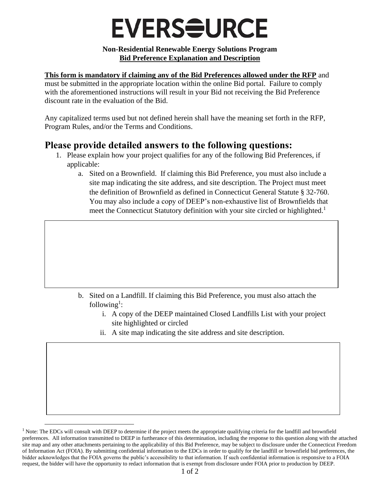## **EVERS<del>Q</del>URCE**

#### **Non-Residential Renewable Energy Solutions Program Bid Preference Explanation and Description**

#### **This form is mandatory if claiming any of the Bid Preferences allowed under the RFP** and

must be submitted in the appropriate location within the online Bid portal. Failure to comply with the aforementioned instructions will result in your Bid not receiving the Bid Preference discount rate in the evaluation of the Bid.

Any capitalized terms used but not defined herein shall have the meaning set forth in the RFP, Program Rules, and/or the Terms and Conditions.

### **Please provide detailed answers to the following questions:**

- 1. Please explain how your project qualifies for any of the following Bid Preferences, if applicable:
	- a. Sited on a Brownfield. If claiming this Bid Preference, you must also include a site map indicating the site address, and site description. The Project must meet the definition of Brownfield as defined in Connecticut General Statute § 32-760. You may also include a copy of DEEP's non-exhaustive list of Brownfields that meet the Connecticut Statutory definition with your site circled or highlighted.<sup>1</sup>

- b. Sited on a Landfill. If claiming this Bid Preference, you must also attach the following<sup>1</sup>:
	- i. A copy of the DEEP maintained Closed Landfills List with your project site highlighted or circled
	- ii. A site map indicating the site address and site description.

<sup>&</sup>lt;sup>1</sup> Note: The EDCs will consult with DEEP to determine if the project meets the appropriate qualifying criteria for the landfill and brownfield preferences. All information transmitted to DEEP in furtherance of this determination, including the response to this question along with the attached site map and any other attachments pertaining to the applicability of this Bid Preference, may be subject to disclosure under the Connecticut Freedom of Information Act (FOIA). By submitting confidential information to the EDCs in order to qualify for the landfill or brownfield bid preferences, the bidder acknowledges that the FOIA governs the public's accessibility to that information. If such confidential information is responsive to a FOIA request, the bidder will have the opportunity to redact information that is exempt from disclosure under FOIA prior to production by DEEP.